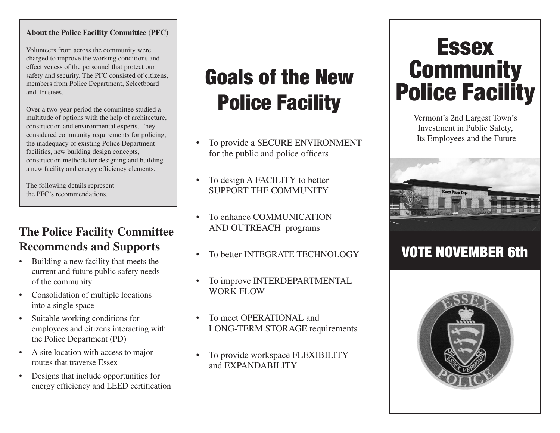#### **About the Police Facility Committee (PFC)**

Volunteers from across the community were charged to improve the working conditions and effectiveness of the personnel that protect our safety and security. The PFC consisted of citizens, members from Police Department, Selectboard and Trustees.

Over a two-year period the committee studied a multitude of options with the help of architecture, construction and environmental experts. They considered community requirements for policing, the inadequacy of existing Police Department facilities, new building design concepts, construction methods for designing and building a new facility and energy efficiency elements.

The following details represent the PFC's recommendations.

#### **The Police Facility Committee Recommends and Supports**

- Building a new facility that meets the current and future public safety needs of the community
- • Consolidation of multiple locations into a single space
- • Suitable working conditions for employees and citizens interacting with the Police Department (PD)
- A site location with access to major routes that traverse Essex
- • Designs that include opportunities for energy efficiency and LEED certification

# Goals of the New Police Facility

- To provide a SECURE ENVIRONMENT for the public and police officers
- To design A FACILITY to better support the COMMUNITY
- To enhance COMMUNICATION AND OUTREACH programs
- To better INTEGRATE TECHNOLOGY
- To improve INTERDEPARTMENTAL WORK FLOW
- To meet OPER ATIONAL and LONG-TERM STORAGE requirements
- To provide workspace FLEXIBILITY and EXPANDABILITY

## **Essex Community** Police Facility

Vermont's 2nd Largest Town's Investment in Public Safety, Its Employees and the Future



## VOTE NOVEMBER 6th